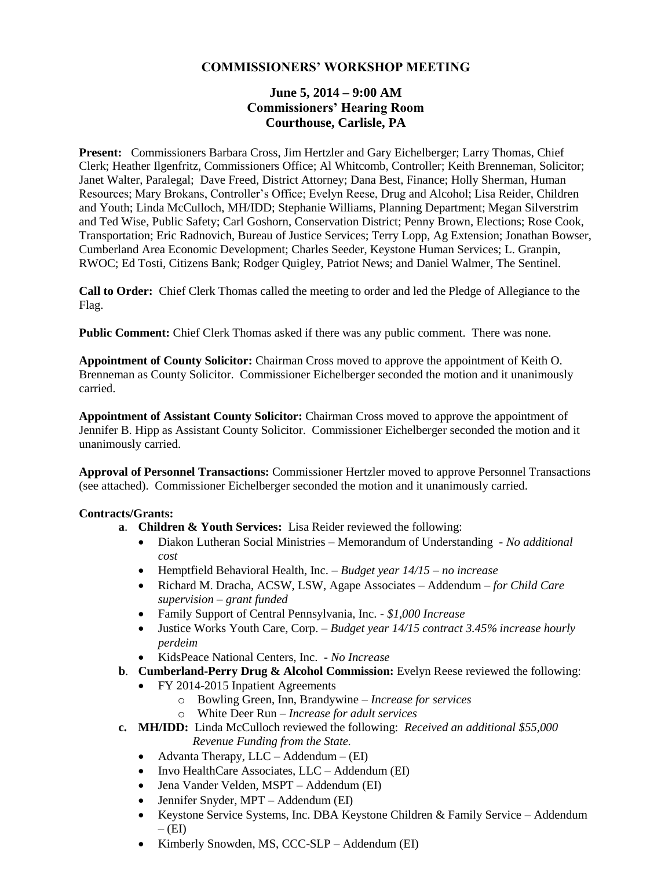# **COMMISSIONERS' WORKSHOP MEETING**

# **June 5, 2014 – 9:00 AM Commissioners' Hearing Room Courthouse, Carlisle, PA**

**Present:** Commissioners Barbara Cross, Jim Hertzler and Gary Eichelberger; Larry Thomas, Chief Clerk; Heather Ilgenfritz, Commissioners Office; Al Whitcomb, Controller; Keith Brenneman, Solicitor; Janet Walter, Paralegal; Dave Freed, District Attorney; Dana Best, Finance; Holly Sherman, Human Resources; Mary Brokans, Controller's Office; Evelyn Reese, Drug and Alcohol; Lisa Reider, Children and Youth; Linda McCulloch, MH/IDD; Stephanie Williams, Planning Department; Megan Silverstrim and Ted Wise, Public Safety; Carl Goshorn, Conservation District; Penny Brown, Elections; Rose Cook, Transportation; Eric Radnovich, Bureau of Justice Services; Terry Lopp, Ag Extension; Jonathan Bowser, Cumberland Area Economic Development; Charles Seeder, Keystone Human Services; L. Granpin, RWOC; Ed Tosti, Citizens Bank; Rodger Quigley, Patriot News; and Daniel Walmer, The Sentinel.

**Call to Order:** Chief Clerk Thomas called the meeting to order and led the Pledge of Allegiance to the Flag.

**Public Comment:** Chief Clerk Thomas asked if there was any public comment. There was none.

**Appointment of County Solicitor:** Chairman Cross moved to approve the appointment of Keith O. Brenneman as County Solicitor. Commissioner Eichelberger seconded the motion and it unanimously carried.

**Appointment of Assistant County Solicitor:** Chairman Cross moved to approve the appointment of Jennifer B. Hipp as Assistant County Solicitor. Commissioner Eichelberger seconded the motion and it unanimously carried.

**Approval of Personnel Transactions:** Commissioner Hertzler moved to approve Personnel Transactions (see attached). Commissioner Eichelberger seconded the motion and it unanimously carried.

#### **Contracts/Grants:**

- **a**. **Children & Youth Services:** Lisa Reider reviewed the following:
	- Diakon Lutheran Social Ministries Memorandum of Understanding *- No additional cost*
	- Hemptfield Behavioral Health, Inc. *– Budget year 14/15 – no increase*
	- Richard M. Dracha, ACSW, LSW, Agape Associates Addendum *– for Child Care supervision – grant funded*
	- Family Support of Central Pennsylvania, Inc. *- \$1,000 Increase*
	- Justice Works Youth Care, Corp. *– Budget year 14/15 contract 3.45% increase hourly perdeim*
	- KidsPeace National Centers, Inc. *- No Increase*
- **b**. **Cumberland-Perry Drug & Alcohol Commission:** Evelyn Reese reviewed the following:
	- FY 2014-2015 Inpatient Agreements
		- o Bowling Green, Inn, Brandywine *– Increase for services*
		- o White Deer Run *– Increase for adult services*
- **c. MH/IDD:** Linda McCulloch reviewed the following: *Received an additional \$55,000* 
	- *Revenue Funding from the State.*
	- Advanta Therapy,  $LLC Addendum (EI)$
	- Invo HealthCare Associates, LLC Addendum (EI)
	- Jena Vander Velden, MSPT Addendum (EI)
	- Jennifer Snyder, MPT Addendum (EI)
	- Keystone Service Systems, Inc. DBA Keystone Children & Family Service Addendum  $-$  (EI)
	- Kimberly Snowden, MS, CCC-SLP Addendum (EI)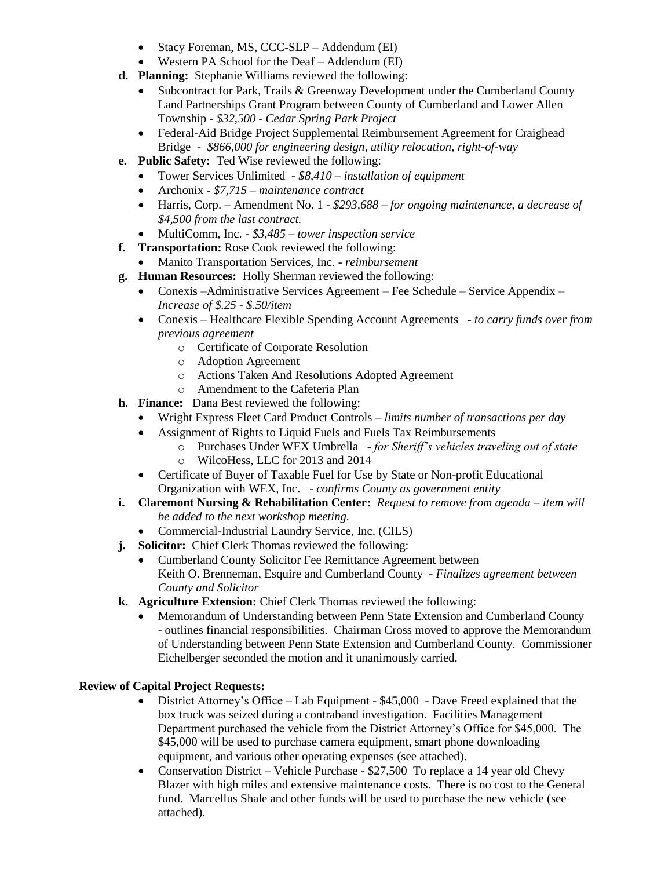- Stacy Foreman, MS, CCC-SLP Addendum (EI)
- Western PA School for the Deaf Addendum (EI)
- **d. Planning:** Stephanie Williams reviewed the following:
	- Subcontract for Park, Trails & Greenway Development under the Cumberland County Land Partnerships Grant Program between County of Cumberland and Lower Allen Township *- \$32,500 - Cedar Spring Park Project*
	- Federal-Aid Bridge Project Supplemental Reimbursement Agreement for Craighead Bridge *- \$866,000 for engineering design, utility relocation, right-of-way*
- **e. Public Safety:** Ted Wise reviewed the following:
	- Tower Services Unlimited *- \$8,410 – installation of equipment*
	- Archonix *- \$7,715 – maintenance contract*
	- Harris, Corp. Amendment No. 1 *- \$293,688 – for ongoing maintenance, a decrease of \$4,500 from the last contract.*
	- MultiComm, Inc. *- \$3,485 – tower inspection service*
- **f. Transportation:** Rose Cook reviewed the following:
	- Manito Transportation Services, Inc. *- reimbursement*
- **g. Human Resources:** Holly Sherman reviewed the following:
	- Conexis –Administrative Services Agreement Fee Schedule Service Appendix *– Increase of \$.25 - \$.50/item*
	- Conexis Healthcare Flexible Spending Account Agreements *- to carry funds over from previous agreement*
		- o Certificate of Corporate Resolution
		- o Adoption Agreement
		- o Actions Taken And Resolutions Adopted Agreement
		- o Amendment to the Cafeteria Plan
- **h. Finance:** Dana Best reviewed the following:
	- Wright Express Fleet Card Product Controls *– limits number of transactions per day*
	- Assignment of Rights to Liquid Fuels and Fuels Tax Reimbursements
		- o Purchases Under WEX Umbrella *- for Sheriff's vehicles traveling out of state*
		- o WilcoHess, LLC for 2013 and 2014
	- Certificate of Buyer of Taxable Fuel for Use by State or Non-profit Educational Organization with WEX, Inc. *- confirms County as government entity*
- **i. Claremont Nursing & Rehabilitation Center:** *Request to remove from agenda – item will be added to the next workshop meeting.*
	- Commercial-Industrial Laundry Service, Inc. (CILS)
- **j. Solicitor:** Chief Clerk Thomas reviewed the following:
	- Cumberland County Solicitor Fee Remittance Agreement between Keith O. Brenneman, Esquire and Cumberland County *- Finalizes agreement between County and Solicitor*
- **k. Agriculture Extension:** Chief Clerk Thomas reviewed the following:
	- Memorandum of Understanding between Penn State Extension and Cumberland County - outlines financial responsibilities. Chairman Cross moved to approve the Memorandum of Understanding between Penn State Extension and Cumberland County. Commissioner Eichelberger seconded the motion and it unanimously carried.

#### **Review of Capital Project Requests:**

- District Attorney's Office Lab Equipment \$45,000 Dave Freed explained that the box truck was seized during a contraband investigation. Facilities Management Department purchased the vehicle from the District Attorney's Office for \$45,000. The \$45,000 will be used to purchase camera equipment, smart phone downloading equipment, and various other operating expenses (see attached).
- Conservation District Vehicle Purchase \$27,500 To replace a 14 year old Chevy Blazer with high miles and extensive maintenance costs. There is no cost to the General fund. Marcellus Shale and other funds will be used to purchase the new vehicle (see attached).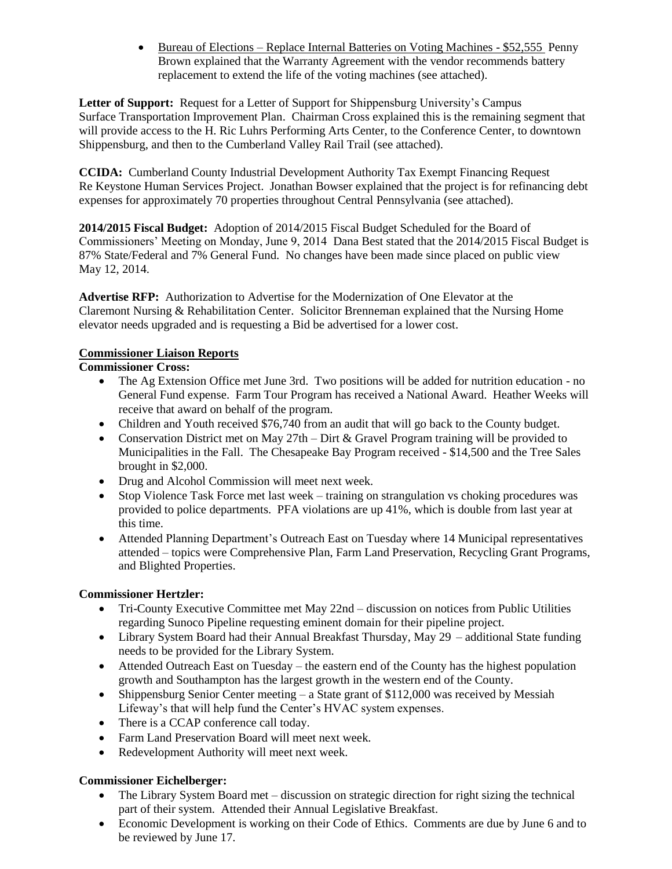• Bureau of Elections – Replace Internal Batteries on Voting Machines - \$52,555 Penny Brown explained that the Warranty Agreement with the vendor recommends battery replacement to extend the life of the voting machines (see attached).

Letter of Support: Request for a Letter of Support for Shippensburg University's Campus Surface Transportation Improvement Plan. Chairman Cross explained this is the remaining segment that will provide access to the H. Ric Luhrs Performing Arts Center, to the Conference Center, to downtown Shippensburg, and then to the Cumberland Valley Rail Trail (see attached).

**CCIDA:** Cumberland County Industrial Development Authority Tax Exempt Financing Request Re Keystone Human Services Project. Jonathan Bowser explained that the project is for refinancing debt expenses for approximately 70 properties throughout Central Pennsylvania (see attached).

**2014/2015 Fiscal Budget:** Adoption of 2014/2015 Fiscal Budget Scheduled for the Board of Commissioners' Meeting on Monday, June 9, 2014 Dana Best stated that the 2014/2015 Fiscal Budget is 87% State/Federal and 7% General Fund. No changes have been made since placed on public view May 12, 2014.

**Advertise RFP:** Authorization to Advertise for the Modernization of One Elevator at the Claremont Nursing & Rehabilitation Center. Solicitor Brenneman explained that the Nursing Home elevator needs upgraded and is requesting a Bid be advertised for a lower cost.

### **Commissioner Liaison Reports**

## **Commissioner Cross:**

- The Ag Extension Office met June 3rd. Two positions will be added for nutrition education no General Fund expense. Farm Tour Program has received a National Award. Heather Weeks will receive that award on behalf of the program.
- Children and Youth received \$76,740 from an audit that will go back to the County budget.
- Conservation District met on May  $27th -$  Dirt & Gravel Program training will be provided to Municipalities in the Fall. The Chesapeake Bay Program received - \$14,500 and the Tree Sales brought in \$2,000.
- Drug and Alcohol Commission will meet next week.
- Stop Violence Task Force met last week training on strangulation vs choking procedures was provided to police departments. PFA violations are up 41%, which is double from last year at this time.
- Attended Planning Department's Outreach East on Tuesday where 14 Municipal representatives attended – topics were Comprehensive Plan, Farm Land Preservation, Recycling Grant Programs, and Blighted Properties.

### **Commissioner Hertzler:**

- Tri-County Executive Committee met May 22nd discussion on notices from Public Utilities regarding Sunoco Pipeline requesting eminent domain for their pipeline project.
- Library System Board had their Annual Breakfast Thursday, May 29 additional State funding needs to be provided for the Library System.
- Attended Outreach East on Tuesday the eastern end of the County has the highest population growth and Southampton has the largest growth in the western end of the County.
- Shippensburg Senior Center meeting a State grant of \$112,000 was received by Messiah Lifeway's that will help fund the Center's HVAC system expenses.
- There is a CCAP conference call today.
- Farm Land Preservation Board will meet next week.
- Redevelopment Authority will meet next week.

### **Commissioner Eichelberger:**

- The Library System Board met discussion on strategic direction for right sizing the technical part of their system. Attended their Annual Legislative Breakfast.
- Economic Development is working on their Code of Ethics. Comments are due by June 6 and to be reviewed by June 17.